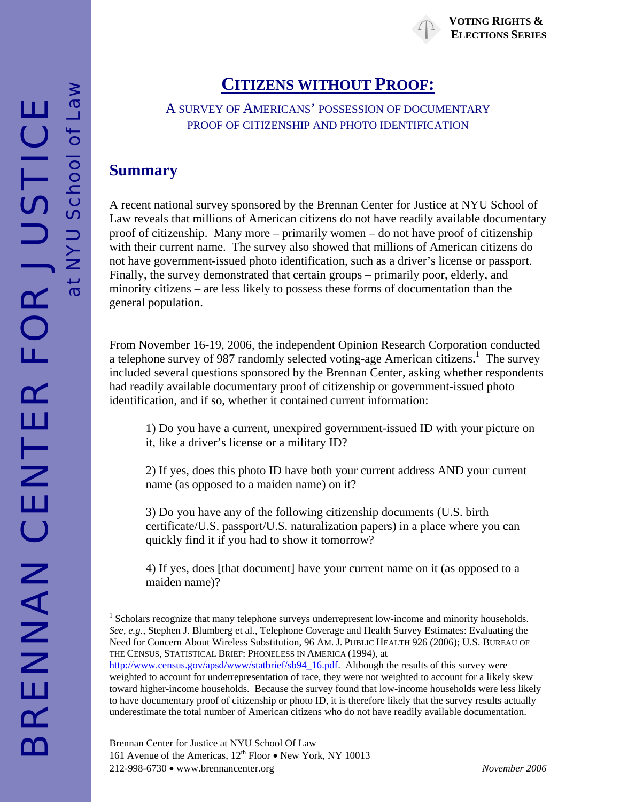# **CITIZENS WITHOUT PROOF:**

#### A SURVEY OF AMERICANS' POSSESSION OF DOCUMENTARY PROOF OF CITIZENSHIP AND PHOTO IDENTIFICATION

### **Summary**

at NYU School of Law

 $\frac{1}{6}$ 

A recent national survey sponsored by the Brennan Center for Justice at NYU School of Law reveals that millions of American citizens do not have readily available documentary proof of citizenship. Many more – primarily women – do not have proof of citizenship with their current name. The survey also showed that millions of American citizens do not have government-issued photo identification, such as a driver's license or passport. Finally, the survey demonstrated that certain groups – primarily poor, elderly, and minority citizens – are less likely to possess these forms of documentation than the general population.

From November 16-19, 2006, the independent Opinion Research Corporation conducted a telephone survey of 987 randomly selected voting-age American citizens.<sup>[1](#page-0-0)</sup> The survey included several questions sponsored by the Brennan Center, asking whether respondents had readily available documentary proof of citizenship or government-issued photo identification, and if so, whether it contained current information:

1) Do you have a current, unexpired government-issued ID with your picture on it, like a driver's license or a military ID?

2) If yes, does this photo ID have both your current address AND your current name (as opposed to a maiden name) on it?

3) Do you have any of the following citizenship documents (U.S. birth certificate/U.S. passport/U.S. naturalization papers) in a place where you can quickly find it if you had to show it tomorrow?

4) If yes, does [that document] have your current name on it (as opposed to a maiden name)?

 $\overline{a}$ 

<span id="page-0-0"></span><sup>&</sup>lt;sup>1</sup> Scholars recognize that many telephone surveys underrepresent low-income and minority households. *See, e.g.*, Stephen J. Blumberg et al., Telephone Coverage and Health Survey Estimates: Evaluating the Need for Concern About Wireless Substitution, 96 AM. J. PUBLIC HEALTH 926 (2006); U.S. BUREAU OF THE CENSUS, STATISTICAL BRIEF: PHONELESS IN AMERICA (1994), at

[http://www.census.gov/apsd/www/statbrief/sb94\\_16.pdf.](http://www.census.gov/apsd/www/statbrief/sb94_16.pdf) Although the results of this survey were weighted to account for underrepresentation of race, they were not weighted to account for a likely skew toward higher-income households. Because the survey found that low-income households were less likely to have documentary proof of citizenship or photo ID, it is therefore likely that the survey results actually underestimate the total number of American citizens who do not have readily available documentation.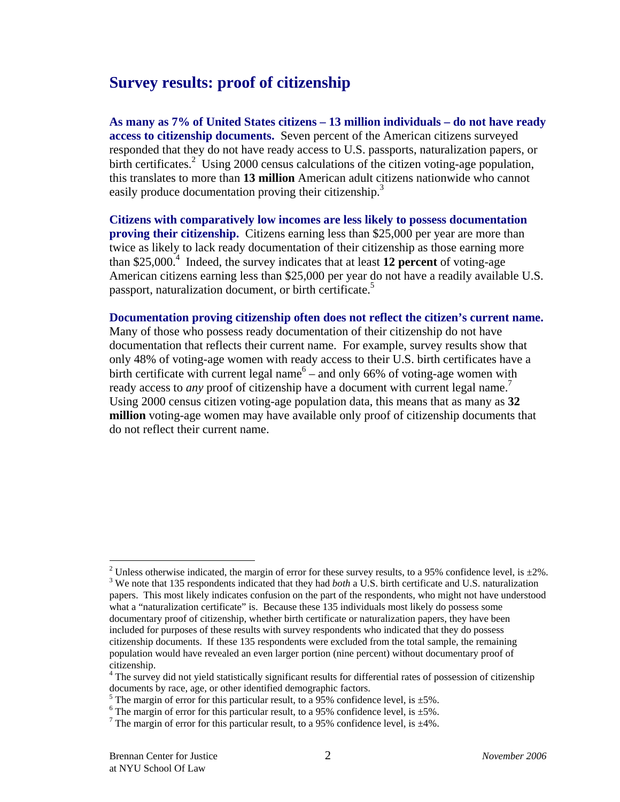# **Survey results: proof of citizenship**

**As many as 7% of United States citizens – 13 million individuals – do not have ready access to citizenship documents.** Seven percent of the American citizens surveyed responded that they do not have ready access to U.S. passports, naturalization papers, or birth certificates.<sup>[2](#page-1-0)</sup> Using 2000 census calculations of the citizen voting-age population, this translates to more than **13 million** American adult citizens nationwide who cannot easily produce documentation proving their citizenship.<sup>3</sup>

**Citizens with comparatively low incomes are less likely to possess documentation proving their citizenship.** Citizens earning less than \$25,000 per year are more than twice as likely to lack ready documentation of their citizenship as those earning more than \$25,000.[4](#page-1-2) Indeed, the survey indicates that at least **12 percent** of voting-age American citizens earning less than \$25,000 per year do not have a readily available U.S. passport, naturalization document, or birth certificate.<sup>[5](#page-1-3)</sup>

**Documentation proving citizenship often does not reflect the citizen's current name.**  Many of those who possess ready documentation of their citizenship do not have documentation that reflects their current name. For example, survey results show that only 48% of voting-age women with ready access to their U.S. birth certificates have a birthcertificate with current legal name<sup>6</sup> – and only 66% of voting-age women with ready access to *any* proof of citizenship have a document with current legal name.<sup>[7](#page-1-5)</sup> Using 2000 census citizen voting-age population data, this means that as many as **32 million** voting-age women may have available only proof of citizenship documents that do not reflect their current name.

 $\overline{a}$ 

<span id="page-1-1"></span><span id="page-1-0"></span><sup>&</sup>lt;sup>2</sup> Unless otherwise indicated, the margin of error for these survey results, to a 95% confidence level, is  $\pm 2\%$ .  $3$  We note that 135 respondents indicated that they had *both* a U.S. birth certificate and U.S. naturalization papers. This most likely indicates confusion on the part of the respondents, who might not have understood what a "naturalization certificate" is. Because these 135 individuals most likely do possess some documentary proof of citizenship, whether birth certificate or naturalization papers, they have been included for purposes of these results with survey respondents who indicated that they do possess citizenship documents. If these 135 respondents were excluded from the total sample, the remaining population would have revealed an even larger portion (nine percent) without documentary proof of citizenship. 4

<span id="page-1-2"></span><sup>&</sup>lt;sup>4</sup> The survey did not yield statistically significant results for differential rates of possession of citizenship documents by race, age, or other identified demographic factors.

<span id="page-1-3"></span><sup>&</sup>lt;sup>5</sup> The margin of error for this particular result, to a 95% confidence level, is  $\pm$ 5%.

<span id="page-1-4"></span> $6$  The margin of error for this particular result, to a 95% confidence level, is  $\pm$ 5%.

<span id="page-1-5"></span><sup>&</sup>lt;sup>7</sup> The margin of error for this particular result, to a 95% confidence level, is  $\pm$ 4%.